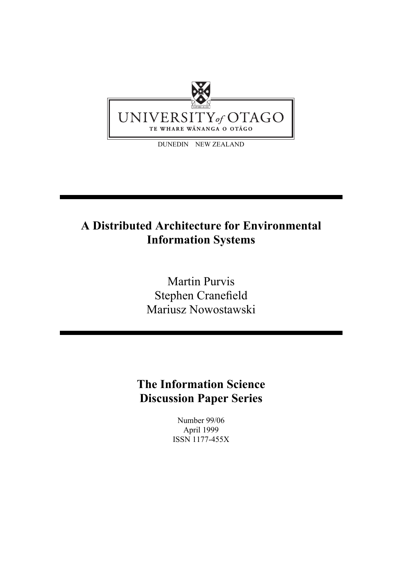

# **A Distributed Architecture for Environmental Information Systems**

Martin Purvis Stephen Cranefield Mariusz Nowostawski

**The Information Science Discussion Paper Series**

> Number 99/06 April 1999 ISSN 1177-455X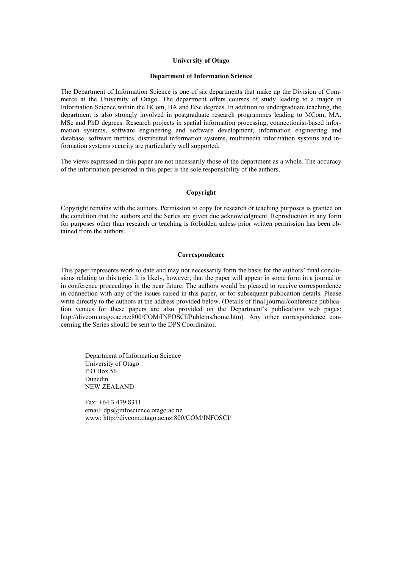#### **University of Otago**

#### **Department of Information Science**

The Department of Information Science is one of six departments that make up the Division of Commerce at the University of Otago. The department offers courses of study leading to a major in Information Science within the BCom, BA and BSc degrees. In addition to undergraduate teaching, the department is also strongly involved in postgraduate research programmes leading to MCom, MA, MSc and PhD degrees. Research projects in spatial information processing, connectionist-based information systems, software engineering and software development, information engineering and database, software metrics, distributed information systems, multimedia information systems and information systems security are particularly well supported.

The views expressed in this paper are not necessarily those of the department as a whole. The accuracy of the information presented in this paper is the sole responsibility of the authors.

#### **Copyright**

Copyright remains with the authors. Permission to copy for research or teaching purposes is granted on the condition that the authors and the Series are given due acknowledgment. Reproduction in any form for purposes other than research or teaching is forbidden unless prior written permission has been obtained from the authors.

#### **Correspondence**

This paper represents work to date and may not necessarily form the basis for the authors' final conclusions relating to this topic. It is likely, however, that the paper will appear in some form in a journal or in conference proceedings in the near future. The authors would be pleased to receive correspondence in connection with any of the issues raised in this paper, or for subsequent publication details. Please write directly to the authors at the address provided below. (Details of final journal/conference publication venues for these papers are also provided on the Department's publications web pages: http://divcom.otago.ac.nz:800/COM/INFOSCI/Publctns/home.htm). Any other correspondence concerning the Series should be sent to the DPS Coordinator.

Department of Information Science University of Otago P O Box 56 Dunedin NEW ZEALAND

Fax: +64 3 479 8311 email: dps@infoscience.otago.ac.nz www: http://divcom.otago.ac.nz:800/COM/INFOSCI/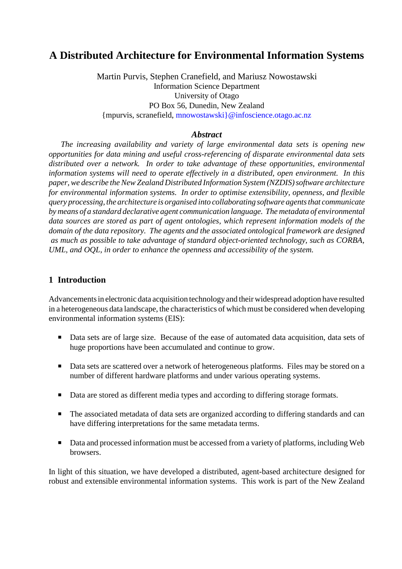# **A Distributed Architecture for Environmental Information Systems**

Martin Purvis, Stephen Cranefield, and Mariusz Nowostawski Information Science Department University of Otago PO Box 56, Dunedin, New Zealand {mpurvis, scranefield, mnowostawski}@infoscience.otago.ac.nz

#### *Abstract*

*The increasing availability and variety of large environmental data sets is opening new opportunities for data mining and useful cross-referencing of disparate environmental data sets distributed over a network. In order to take advantage of these opportunities, environmental information systems will need to operate effectively in a distributed, open environment. In this paper, we describe the New Zealand Distributed Information System (NZDIS) software architecture for environmental information systems. In order to optimise extensibility, openness, and flexible query processing, the architecture is organised into collaborating software agents that communicate by means of a standard declarative agent communication language. The metadata of environmental data sources are stored as part of agent ontologies, which represent information models of the domain of the data repository. The agents and the associated ontological framework are designed as much as possible to take advantage of standard object-oriented technology, such as CORBA, UML, and OQL, in order to enhance the openness and accessibility of the system.*

### **1 Introduction**

Advancements in electronic data acquisition technology and their widespread adoption have resulted in a heterogeneous data landscape, the characteristics of which must be considered when developing environmental information systems (EIS):

- Data sets are of large size. Because of the ease of automated data acquisition, data sets of huge proportions have been accumulated and continue to grow.
- Data sets are scattered over a network of heterogeneous platforms. Files may be stored on a number of different hardware platforms and under various operating systems.
- Data are stored as different media types and according to differing storage formats.
- The associated metadata of data sets are organized according to differing standards and can have differing interpretations for the same metadata terms.
- Data and processed information must be accessed from a variety of platforms, including Web browsers.

In light of this situation, we have developed a distributed, agent-based architecture designed for robust and extensible environmental information systems. This work is part of the New Zealand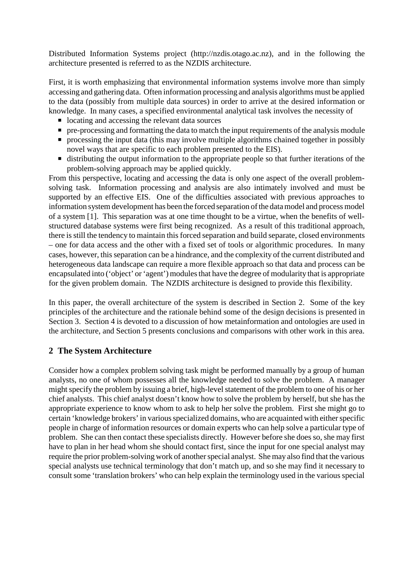Distributed Information Systems project (http://nzdis.otago.ac.nz), and in the following the architecture presented is referred to as the NZDIS architecture.

First, it is worth emphasizing that environmental information systems involve more than simply accessing and gathering data. Often information processing and analysis algorithms must be applied to the data (possibly from multiple data sources) in order to arrive at the desired information or knowledge. In many cases, a specified environmental analytical task involves the necessity of

- $\blacksquare$  locating and accessing the relevant data sources
- $\blacksquare$  pre-processing and formatting the data to match the input requirements of the analysis module
- $\blacksquare$  processing the input data (this may involve multiple algorithms chained together in possibly novel ways that are specific to each problem presented to the EIS).
- distributing the output information to the appropriate people so that further iterations of the problem-solving approach may be applied quickly.

From this perspective, locating and accessing the data is only one aspect of the overall problemsolving task. Information processing and analysis are also intimately involved and must be supported by an effective EIS. One of the difficulties associated with previous approaches to information system development has been the forced separation of the data model and process model of a system [1]. This separation was at one time thought to be a virtue, when the benefits of wellstructured database systems were first being recognized. As a result of this traditional approach, there is still the tendency to maintain this forced separation and build separate, closed environments – one for data access and the other with a fixed set of tools or algorithmic procedures. In many cases, however, this separation can be a hindrance, and the complexity of the current distributed and heterogeneous data landscape can require a more flexible approach so that data and process can be encapsulated into ('object' or 'agent') modules that have the degree of modularity that is appropriate for the given problem domain. The NZDIS architecture is designed to provide this flexibility.

In this paper, the overall architecture of the system is described in Section 2. Some of the key principles of the architecture and the rationale behind some of the design decisions is presented in Section 3. Section 4 is devoted to a discussion of how metainformation and ontologies are used in the architecture, and Section 5 presents conclusions and comparisons with other work in this area.

# **2 The System Architecture**

Consider how a complex problem solving task might be performed manually by a group of human analysts, no one of whom possesses all the knowledge needed to solve the problem. A manager might specify the problem by issuing a brief, high-level statement of the problem to one of his or her chief analysts. This chief analyst doesn't know how to solve the problem by herself, but she has the appropriate experience to know whom to ask to help her solve the problem. First she might go to certain 'knowledge brokers' in various specialized domains, who are acquainted with either specific people in charge of information resources or domain experts who can help solve a particular type of problem. She can then contact these specialists directly. However before she does so, she may first have to plan in her head whom she should contact first, since the input for one special analyst may require the prior problem-solving work of another special analyst. She may also find that the various special analysts use technical terminology that don't match up, and so she may find it necessary to consult some 'translation brokers' who can help explain the terminology used in the various special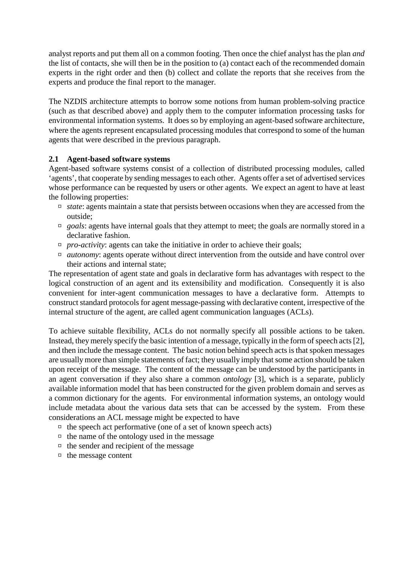analyst reports and put them all on a common footing. Then once the chief analyst has the plan *and* the list of contacts, she will then be in the position to (a) contact each of the recommended domain experts in the right order and then (b) collect and collate the reports that she receives from the experts and produce the final report to the manager.

The NZDIS architecture attempts to borrow some notions from human problem-solving practice (such as that described above) and apply them to the computer information processing tasks for environmental information systems. It does so by employing an agent-based software architecture, where the agents represent encapsulated processing modules that correspond to some of the human agents that were described in the previous paragraph.

### **2.1 Agent-based software systems**

Agent-based software systems consist of a collection of distributed processing modules, called 'agents', that cooperate by sending messages to each other. Agents offer a set of advertised services whose performance can be requested by users or other agents. We expect an agent to have at least the following properties:

- □ *state*: agents maintain a state that persists between occasions when they are accessed from the outside;
- □ *goals*: agents have internal goals that they attempt to meet; the goals are normally stored in a declarative fashion.
- $p$  *pro-activity*: agents can take the initiative in order to achieve their goals;
- □ *autonomy*: agents operate without direct intervention from the outside and have control over their actions and internal state;

The representation of agent state and goals in declarative form has advantages with respect to the logical construction of an agent and its extensibility and modification. Consequently it is also convenient for inter-agent communication messages to have a declarative form. Attempts to construct standard protocols for agent message-passing with declarative content, irrespective of the internal structure of the agent, are called agent communication languages (ACLs).

To achieve suitable flexibility, ACLs do not normally specify all possible actions to be taken. Instead, they merely specify the basic intention of a message, typically in the form of speech acts [2], and then include the message content. The basic notion behind speech acts is that spoken messages are usually more than simple statements of fact; they usually imply that some action should be taken upon receipt of the message. The content of the message can be understood by the participants in an agent conversation if they also share a common *ontology* [3], which is a separate, publicly available information model that has been constructed for the given problem domain and serves as a common dictionary for the agents. For environmental information systems, an ontology would include metadata about the various data sets that can be accessed by the system. From these considerations an ACL message might be expected to have

- $\Box$  the speech act performative (one of a set of known speech acts)
- $\Box$  the name of the ontology used in the message
- $\Box$  the sender and recipient of the message
- $\Box$  the message content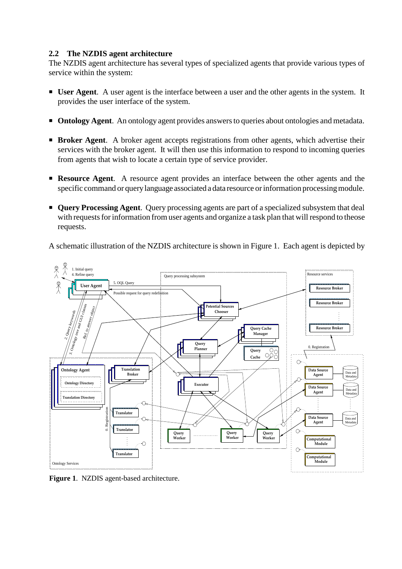### **2.2 The NZDIS agent architecture**

The NZDIS agent architecture has several types of specialized agents that provide various types of service within the system:

- **User Agent**. A user agent is the interface between a user and the other agents in the system. It provides the user interface of the system.
- **Ontology Agent**. An ontology agent provides answers to queries about ontologies and metadata.
- **Example 1 Broker Agent**. A broker agent accepts registrations from other agents, which advertise their services with the broker agent. It will then use this information to respond to incoming queries from agents that wish to locate a certain type of service provider.
- **Resource Agent.** A resource agent provides an interface between the other agents and the specific command or querylanguage associated a data resource or information processing module.
- **Query Processing Agent**. Query processing agents are part of a specialized subsystem that deal with requests for information from user agents and organize a task plan that will respond to theose requests.

A schematic illustration of the NZDIS architecture is shown in Figure 1. Each agent is depicted by



**Figure 1**. NZDIS agent-based architecture.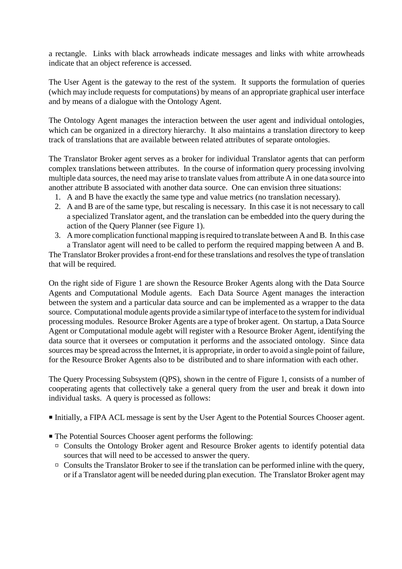a rectangle. Links with black arrowheads indicate messages and links with white arrowheads indicate that an object reference is accessed.

The User Agent is the gateway to the rest of the system. It supports the formulation of queries (which may include requests for computations) by means of an appropriate graphical user interface and by means of a dialogue with the Ontology Agent.

The Ontology Agent manages the interaction between the user agent and individual ontologies, which can be organized in a directory hierarchy. It also maintains a translation directory to keep track of translations that are available between related attributes of separate ontologies.

The Translator Broker agent serves as a broker for individual Translator agents that can perform complex translations between attributes. In the course of information query processing involving multiple data sources, the need may arise to translate values from attribute A in one data source into another attribute B associated with another data source. One can envision three situations:

- 1. A and B have the exactly the same type and value metrics (no translation necessary).
- 2. A and B are of the same type, but rescaling is necessary. In this case it is not necessary to call a specialized Translator agent, and the translation can be embedded into the query during the action of the Query Planner (see Figure 1).
- 3. A more complication functional mapping is required to translate between A and B. In this case a Translator agent will need to be called to perform the required mapping between A and B.

The Translator Broker provides a front-end for these translations and resolves the type of translation that will be required.

On the right side of Figure 1 are shown the Resource Broker Agents along with the Data Source Agents and Computational Module agents. Each Data Source Agent manages the interaction between the system and a particular data source and can be implemented as a wrapper to the data source. Computational module agents provide a similar type of interface to the system for individual processing modules. Resource Broker Agents are a type of broker agent. On startup, a Data Source Agent or Computational module agebt will register with a Resource Broker Agent, identifying the data source that it oversees or computation it performs and the associated ontology. Since data sources may be spread across the Internet, it is appropriate, in order to avoid a single point of failure, for the Resource Broker Agents also to be distributed and to share information with each other.

The Query Processing Subsystem (QPS), shown in the centre of Figure 1, consists of a number of cooperating agents that collectively take a general query from the user and break it down into individual tasks. A query is processed as follows:

- ˇ Initially, a FIPA ACL message is sent by the User Agent to the Potential Sources Chooser agent.
- The Potential Sources Chooser agent performs the following:
	- □ Consults the Ontology Broker agent and Resource Broker agents to identify potential data sources that will need to be accessed to answer the query.
	- $\Box$  Consults the Translator Broker to see if the translation can be performed inline with the query, or if a Translator agent will be needed during plan execution. The Translator Broker agent may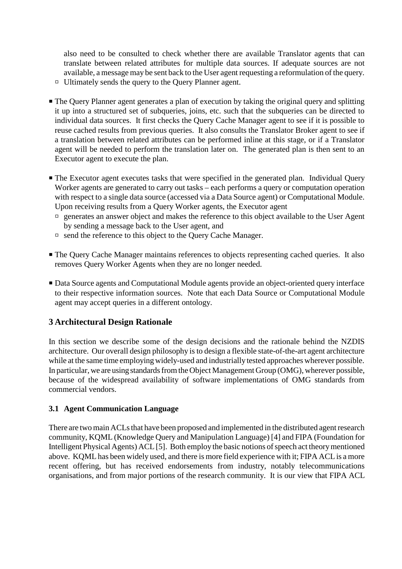also need to be consulted to check whether there are available Translator agents that can translate between related attributes for multiple data sources. If adequate sources are not available, a message may be sent back to the User agent requesting a reformulation of the query.

- ˛ Ultimately sends the query to the Query Planner agent.
- The Query Planner agent generates a plan of execution by taking the original query and splitting it up into a structured set of subqueries, joins, etc. such that the subqueries can be directed to individual data sources. It first checks the Query Cache Manager agent to see if it is possible to reuse cached results from previous queries. It also consults the Translator Broker agent to see if a translation between related attributes can be performed inline at this stage, or if a Translator agent will be needed to perform the translation later on. The generated plan is then sent to an Executor agent to execute the plan.
- The Executor agent executes tasks that were specified in the generated plan. Individual Query Worker agents are generated to carry out tasks – each performs a query or computation operation with respect to a single data source (accessed via a Data Source agent) or Computational Module. Upon receiving results from a Query Worker agents, the Executor agent
	- $\Box$  generates an answer object and makes the reference to this object available to the User Agent by sending a message back to the User agent, and
	- $\Box$  send the reference to this object to the Query Cache Manager.
- The Query Cache Manager maintains references to objects representing cached queries. It also removes Query Worker Agents when they are no longer needed.
- Data Source agents and Computational Module agents provide an object-oriented query interface to their respective information sources. Note that each Data Source or Computational Module agent may accept queries in a different ontology.

# **3 Architectural Design Rationale**

In this section we describe some of the design decisions and the rationale behind the NZDIS architecture. Our overall design philosophy is to design a flexible state-of-the-art agent architecture while at the same time employing widely-used and industrially tested approaches wherever possible. In particular, we are using standards from the Object Management Group (OMG), wherever possible, because of the widespread availability of software implementations of OMG standards from commercial vendors.

# **3.1 Agent Communication Language**

There are two main ACLs that have been proposed and implemented in the distributed agent research community, KQML (Knowledge Query and Manipulation Language) [4] and FIPA (Foundation for Intelligent Physical Agents) ACL [5]. Both employ the basic notions of speech act theory mentioned above. KQML has been widely used, and there is more field experience with it; FIPA ACL is a more recent offering, but has received endorsements from industry, notably telecommunications organisations, and from major portions of the research community. It is our view that FIPA ACL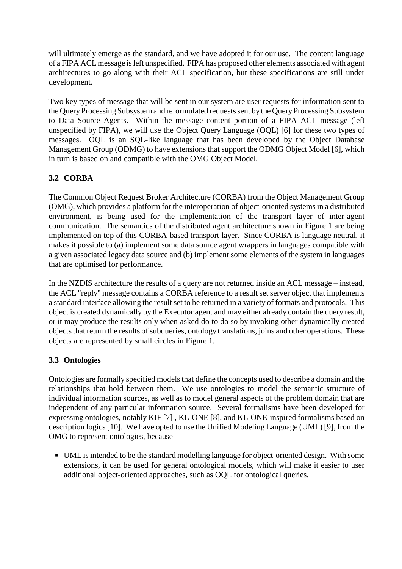will ultimately emerge as the standard, and we have adopted it for our use. The content language of a FIPA ACL message is left unspecified. FIPA has proposed other elements associated with agent architectures to go along with their ACL specification, but these specifications are still under development.

Two key types of message that will be sent in our system are user requests for information sent to the Query Processing Subsystem and reformulated requests sent by the Query Processing Subsystem to Data Source Agents. Within the message content portion of a FIPA ACL message (left unspecified by FIPA), we will use the Object Query Language (OQL) [6] for these two types of messages. OQL is an SQL-like language that has been developed by the Object Database Management Group (ODMG) to have extensions that support the ODMG Object Model [6], which in turn is based on and compatible with the OMG Object Model.

# **3.2 CORBA**

The Common Object Request Broker Architecture (CORBA) from the Object Management Group (OMG), which provides a platform for the interoperation of object-oriented systems in a distributed environment, is being used for the implementation of the transport layer of inter-agent communication. The semantics of the distributed agent architecture shown in Figure 1 are being implemented on top of this CORBA-based transport layer. Since CORBA is language neutral, it makes it possible to (a) implement some data source agent wrappers in languages compatible with a given associated legacy data source and (b) implement some elements of the system in languages that are optimised for performance.

In the NZDIS architecture the results of a query are not returned inside an ACL message – instead, the ACL "reply" message contains a CORBA reference to a result set server object that implements a standard interface allowing the result set to be returned in a variety of formats and protocols. This object is created dynamically by the Executor agent and may either already contain the query result, or it may produce the results only when asked do to do so by invoking other dynamically created objects that return the results of subqueries, ontology translations, joins and other operations. These objects are represented by small circles in Figure 1.

# **3.3 Ontologies**

Ontologies are formally specified models that define the concepts used to describe a domain and the relationships that hold between them. We use ontologies to model the semantic structure of individual information sources, as well as to model general aspects of the problem domain that are independent of any particular information source. Several formalisms have been developed for expressing ontologies, notably KIF [7] , KL-ONE [8], and KL-ONE-inspired formalisms based on description logics [10]. We have opted to use the Unified Modeling Language (UML) [9], from the OMG to represent ontologies, because

■ UML is intended to be the standard modelling language for object-oriented design. With some extensions, it can be used for general ontological models, which will make it easier to user additional object-oriented approaches, such as OQL for ontological queries.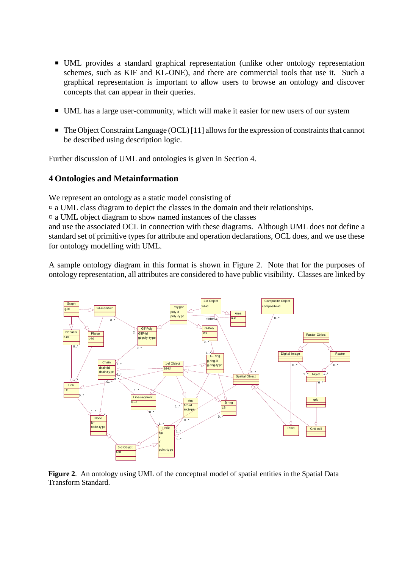- UML provides a standard graphical representation (unlike other ontology representation schemes, such as KIF and KL-ONE), and there are commercial tools that use it. Such a graphical representation is important to allow users to browse an ontology and discover concepts that can appear in their queries.
- UML has a large user-community, which will make it easier for new users of our system
- $\blacksquare$  The Object Constraint Language (OCL) [11] allows for the expression of constraints that cannot be described using description logic.

Further discussion of UML and ontologies is given in Section 4.

### **4 Ontologies and Metainformation**

We represent an ontology as a static model consisting of

 $\Box$  a UML class diagram to depict the classes in the domain and their relationships.

˛ a UML object diagram to show named instances of the classes

and use the associated OCL in connection with these diagrams. Although UML does not define a standard set of primitive types for attribute and operation declarations, OCL does, and we use these for ontology modelling with UML.

A sample ontology diagram in this format is shown in Figure 2. Note that for the purposes of ontology representation, all attributes are considered to have public visibility. Classes are linked by



**Figure 2**. An ontology using UML of the conceptual model of spatial entities in the Spatial Data Transform Standard.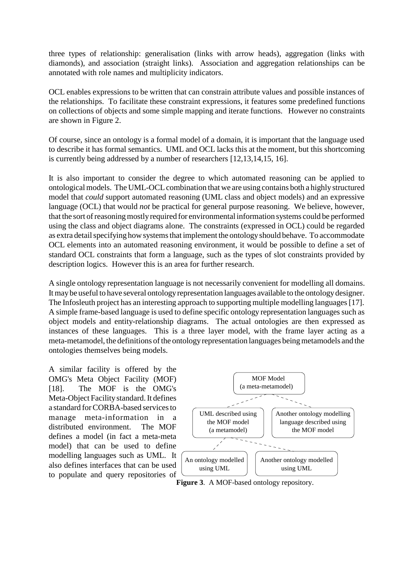three types of relationship: generalisation (links with arrow heads), aggregation (links with diamonds), and association (straight links). Association and aggregation relationships can be annotated with role names and multiplicity indicators.

OCL enables expressions to be written that can constrain attribute values and possible instances of the relationships. To facilitate these constraint expressions, it features some predefined functions on collections of objects and some simple mapping and iterate functions. However no constraints are shown in Figure 2.

Of course, since an ontology is a formal model of a domain, it is important that the language used to describe it has formal semantics. UML and OCL lacks this at the moment, but this shortcoming is currently being addressed by a number of researchers [12,13,14,15, 16].

It is also important to consider the degree to which automated reasoning can be applied to ontological models. The UML-OCL combination that we are using contains both a highly structured model that *could* support automated reasoning (UML class and object models) and an expressive language (OCL) that would *not* be practical for general purpose reasoning. We believe, however, that the sort of reasoning mostly required for environmental information systems could be performed using the class and object diagrams alone. The constraints (expressed in OCL) could be regarded as extra detail specifying how systems that implement the ontology should behave. To accommodate OCL elements into an automated reasoning environment, it would be possible to define a set of standard OCL constraints that form a language, such as the types of slot constraints provided by description logics. However this is an area for further research.

A single ontology representation language is not necessarily convenient for modelling all domains. It may be useful to have several ontology representation languages available to the ontology designer. The Infosleuth project has an interesting approach to supporting multiple modelling languages [17]. A simple frame-based language is used to define specific ontology representation languages such as object models and entity-relationship diagrams. The actual ontologies are then expressed as instances of these languages. This is a three layer model, with the frame layer acting as a meta-metamodel, the definitions of the ontology representation languages being metamodels and the ontologies themselves being models.

A similar facility is offered by the OMG's Meta Object Facility (MOF) [18]. The MOF is the OMG's Meta-Object Facility standard. It defines a standard for CORBA-based services to manage meta-information in a distributed environment. The MOF defines a model (in fact a meta-meta model) that can be used to define modelling languages such as UML. It also defines interfaces that can be used to populate and query repositories of



**Figure 3**. A MOF-based ontology repository.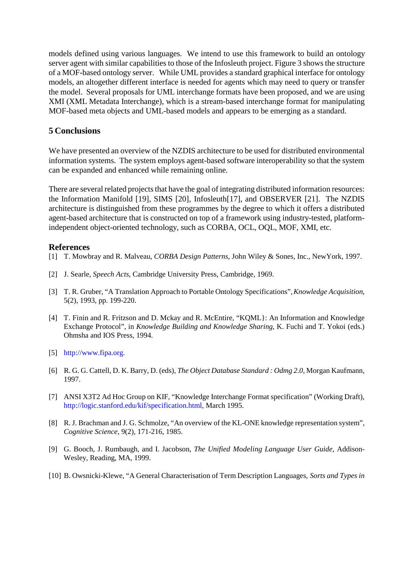models defined using various languages. We intend to use this framework to build an ontology server agent with similar capabilities to those of the Infosleuth project. Figure 3 shows the structure of a MOF-based ontology server. While UML provides a standard graphical interface for ontology models, an altogether different interface is needed for agents which may need to query or transfer the model. Several proposals for UML interchange formats have been proposed, and we are using XMI (XML Metadata Interchange), which is a stream-based interchange format for manipulating MOF-based meta objects and UML-based models and appears to be emerging as a standard.

### **5 Conclusions**

We have presented an overview of the NZDIS architecture to be used for distributed environmental information systems. The system employs agent-based software interoperability so that the system can be expanded and enhanced while remaining online.

There are several related projects that have the goal of integrating distributed information resources: the Information Manifold [19], SIMS [20], Infosleuth[17], and OBSERVER [21]. The NZDIS architecture is distinguished from these programmes by the degree to which it offers a distributed agent-based architecture that is constructed on top of a framework using industry-tested, platformindependent object-oriented technology, such as CORBA, OCL, OQL, MOF, XMI, etc.

### **References**

- [1] T. Mowbray and R. Malveau, *CORBA Design Patterns,* John Wiley & Sones, Inc., NewYork, 1997.
- [2] J. Searle, *Speech Acts*, Cambridge University Press, Cambridge, 1969.
- [3] T. R. Gruber, "A Translation Approach to Portable Ontology Specifications",*Knowledge Acquisition*, 5(2), 1993, pp. 199-220.
- [4] T. Finin and R. Fritzson and D. Mckay and R. McEntire, "KQML}: An Information and Knowledge Exchange Protocol", in *Knowledge Building and Knowledge Sharing*, K. Fuchi and T. Yokoi (eds.) Ohmsha and IOS Press, 1994.
- [5] http://www.fipa.org.
- [6] R. G. G. Cattell, D. K. Barry, D. (eds), *The Object Database Standard : Odmg 2.0*, Morgan Kaufmann, 1997.
- [7] ANSI X3T2 Ad Hoc Group on KIF, "Knowledge Interchange Format specification" (Working Draft), http://logic.stanford.edu/kif/specification.html, March 1995.
- [8] R. J. Brachman and J. G. Schmolze, "An overview of the KL-ONE knowledge representation system", *Cognitive Science*, 9(2), 171-216, 1985.
- [9] G. Booch, J. Rumbaugh, and I. Jacobson, *The Unified Modeling Language User Guide*, Addison-Wesley, Reading, MA, 1999.
- [10] B. Owsnicki-Klewe, "A General Characterisation of Term Description Languages, *Sorts and Types in*